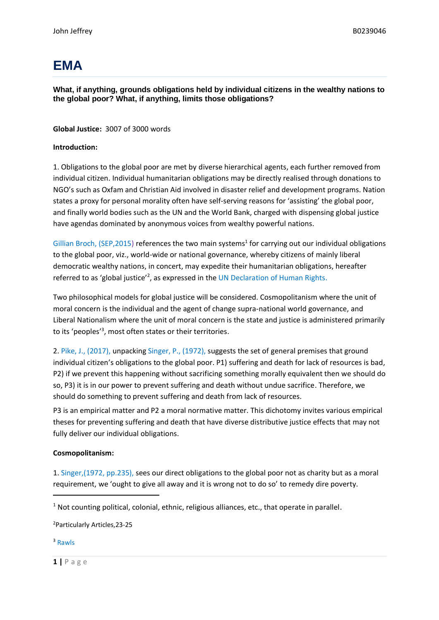# **EMA**

**What, if anything, grounds obligations held by individual citizens in the wealthy nations to the global poor? What, if anything, limits those obligations?**

## **Global Justice:** 3007 of 3000 words

## **Introduction:**

1. Obligations to the global poor are met by diverse hierarchical agents, each further removed from individual citizen. Individual humanitarian obligations may be directly realised through donations to NGO's such as Oxfam and Christian Aid involved in disaster relief and development programs. Nation states a proxy for personal morality often have self-serving reasons for 'assisting' the global poor, and finally world bodies such as the UN and the World Bank, charged with dispensing global justice have agendas dominated by anonymous voices from wealthy powerful nations.

Gillian Broch, (SEP, 2015) references the two main systems<sup>1</sup> for carrying out our individual obligations to the global poor, viz., world-wide or national governance, whereby citizens of mainly liberal democratic wealthy nations, in concert, may expedite their humanitarian obligations, hereafter referred to as 'global justice'<sup>2</sup>, as expressed in the UN Declaration of Human Rights.

Two philosophical models for global justice will be considered. Cosmopolitanism where the unit of moral concern is the individual and the agent of change supra-national world governance, and Liberal Nationalism where the unit of moral concern is the state and justice is administered primarily to its 'peoples' 3 , most often states or their territories.

2. Pike, J., (2017), unpacking Singer, P., (1972), suggests the set of general premises that ground individual citizen's obligations to the global poor. P1) suffering and death for lack of resources is bad, P2) if we prevent this happening without sacrificing something morally equivalent then we should do so, P3) it is in our power to prevent suffering and death without undue sacrifice. Therefore, we should do something to prevent suffering and death from lack of resources.

P3 is an empirical matter and P2 a moral normative matter. This dichotomy invites various empirical theses for preventing suffering and death that have diverse distributive justice effects that may not fully deliver our individual obligations.

### **Cosmopolitanism:**

1. Singer,(1972, pp.235), sees our direct obligations to the global poor not as charity but as a moral requirement, we 'ought to give all away and it is wrong not to do so' to remedy dire poverty.

<sup>1</sup> Not counting political, colonial, ethnic, religious alliances, etc., that operate in parallel.

<sup>2</sup>Particularly Articles,23-25

<sup>3</sup> Rawls

**1 |** P a g e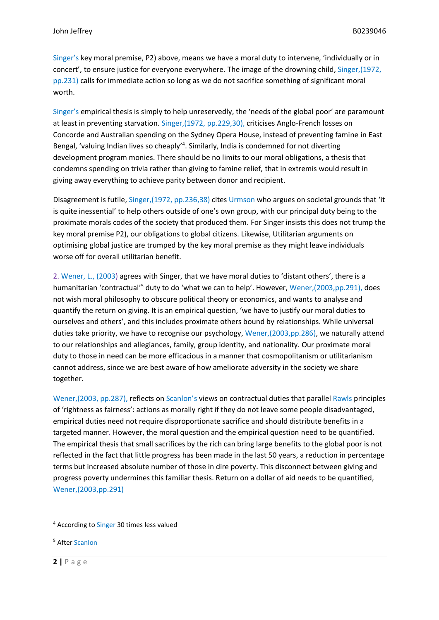Singer's key moral premise, P2) above, means we have a moral duty to intervene, 'individually or in concert', to ensure justice for everyone everywhere. The image of the drowning child, Singer,(1972, pp.231) calls for immediate action so long as we do not sacrifice something of significant moral worth.

Singer's empirical thesis is simply to help unreservedly, the 'needs of the global poor' are paramount at least in preventing starvation. Singer,(1972, pp.229,30), criticises Anglo-French losses on Concorde and Australian spending on the Sydney Opera House, instead of preventing famine in East Bengal, 'valuing Indian lives so cheaply'<sup>4</sup>. Similarly, India is condemned for not diverting development program monies. There should be no limits to our moral obligations, a thesis that condemns spending on trivia rather than giving to famine relief, that in extremis would result in giving away everything to achieve parity between donor and recipient.

Disagreement is futile, Singer,(1972, pp.236,38) cites Urmson who argues on societal grounds that 'it is quite inessential' to help others outside of one's own group, with our principal duty being to the proximate morals codes of the society that produced them. For Singer insists this does not trump the key moral premise P2), our obligations to global citizens. Likewise, Utilitarian arguments on optimising global justice are trumped by the key moral premise as they might leave individuals worse off for overall utilitarian benefit.

2. Wener, L., (2003) agrees with Singer, that we have moral duties to 'distant others', there is a humanitarian 'contractual'<sup>5</sup> duty to do 'what we can to help'. However, Wener,(2003,pp.291), does not wish moral philosophy to obscure political theory or economics, and wants to analyse and quantify the return on giving. It is an empirical question, 'we have to justify our moral duties to ourselves and others', and this includes proximate others bound by relationships. While universal duties take priority, we have to recognise our psychology, Wener,(2003,pp.286), we naturally attend to our relationships and allegiances, family, group identity, and nationality. Our proximate moral duty to those in need can be more efficacious in a manner that cosmopolitanism or utilitarianism cannot address, since we are best aware of how ameliorate adversity in the society we share together.

Wener,(2003, pp.287), reflects on Scanlon's views on contractual duties that parallel Rawls principles of 'rightness as fairness': actions as morally right if they do not leave some people disadvantaged, empirical duties need not require disproportionate sacrifice and should distribute benefits in a targeted manner*.* However, the moral question and the empirical question need to be quantified. The empirical thesis that small sacrifices by the rich can bring large benefits to the global poor is not reflected in the fact that little progress has been made in the last 50 years, a reduction in percentage terms but increased absolute number of those in dire poverty. This disconnect between giving and progress poverty undermines this familiar thesis. Return on a dollar of aid needs to be quantified, Wener,(2003,pp.291)

<sup>&</sup>lt;sup>4</sup> According to Singer 30 times less valued

<sup>5</sup> After Scanlon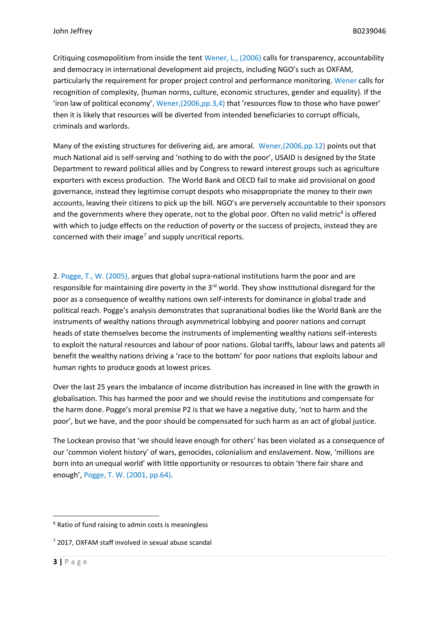Critiquing cosmopolitism from inside the tent Wener, L., (2006) calls for transparency, accountability and democracy in international development aid projects, including NGO's such as OXFAM, particularly the requirement for proper project control and performance monitoring. Wener calls for recognition of complexity, {human norms, culture, economic structures, gender and equality}. If the 'iron law of political economy', Wener,(2006,pp.3,4) that 'resources flow to those who have power' then it is likely that resources will be diverted from intended beneficiaries to corrupt officials, criminals and warlords.

Many of the existing structures for delivering aid, are amoral. Wener,(2006,pp.12) points out that much National aid is self-serving and 'nothing to do with the poor', USAID is designed by the State Department to reward political allies and by Congress to reward interest groups such as agriculture exporters with excess production. The World Bank and OECD fail to make aid provisional on good governance, instead they legitimise corrupt despots who misappropriate the money to their own accounts, leaving their citizens to pick up the bill. NGO's are perversely accountable to their sponsors and the governments where they operate, not to the global poor. Often no valid metric<sup>6</sup> is offered with which to judge effects on the reduction of poverty or the success of projects, instead they are concerned with their image<sup>7</sup> and supply uncritical reports.

2. Pogge, T., W. (2005), argues that global supra-national institutions harm the poor and are responsible for maintaining dire poverty in the 3<sup>rd</sup> world. They show institutional disregard for the poor as a consequence of wealthy nations own self-interests for dominance in global trade and political reach. Pogge's analysis demonstrates that supranational bodies like the World Bank are the instruments of wealthy nations through asymmetrical lobbying and poorer nations and corrupt heads of state themselves become the instruments of implementing wealthy nations self-interests to exploit the natural resources and labour of poor nations. Global tariffs, labour laws and patents all benefit the wealthy nations driving a 'race to the bottom' for poor nations that exploits labour and human rights to produce goods at lowest prices.

Over the last 25 years the imbalance of income distribution has increased in line with the growth in globalisation. This has harmed the poor and we should revise the institutions and compensate for the harm done. Pogge's moral premise P2 is that we have a negative duty, 'not to harm and the poor', but we have, and the poor should be compensated for such harm as an act of global justice.

The Lockean proviso that 'we should leave enough for others' has been violated as a consequence of our 'common violent history' of wars, genocides, colonialism and enslavement. Now, 'millions are born into an unequal world' with little opportunity or resources to obtain 'there fair share and enough', Pogge, T. W. (2001, pp.64).

<sup>&</sup>lt;sup>6</sup> Ratio of fund raising to admin costs is meaningless

<sup>7</sup> 2017, OXFAM staff involved in sexual abuse scandal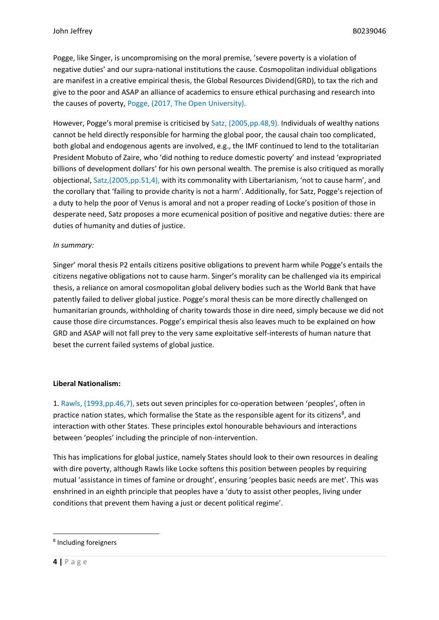Pogge, like Singer, is uncompromising on the moral premise, 'severe poverty is a violation of negative duties' and our supra-national institutions the cause. Cosmopolitan individual obligations are manifest in a creative empirical thesis, the Global Resources Dividend(GRD), to tax the rich and give to the poor and ASAP an alliance of academics to ensure ethical purchasing and research into the causes of poverty, Pogge, (2017, The Open University).

However, Pogge's moral premise is criticised by Satz, (2005,pp.48,9). Individuals of wealthy nations cannot be held directly responsible for harming the global poor, the causal chain too complicated, both global and endogenous agents are involved, e.g., the IMF continued to lend to the totalitarian President Mobuto of Zaire, who 'did nothing to reduce domestic poverty' and instead 'expropriated billions of development dollars' for his own personal wealth. The premise is also critiqued as morally objectional, Satz,(2005,pp.51,4), with its commonality with Libertarianism, 'not to cause harm', and the corollary that 'failing to provide charity is not a harm'. Additionally, for Satz, Pogge's rejection of a duty to help the poor of Venus is amoral and not a proper reading of Locke's position of those in desperate need, Satz proposes a more ecumenical position of positive and negative duties: there are duties of humanity and duties of justice.

# *In summary:*

Singer' moral thesis P2 entails citizens positive obligations to prevent harm while Pogge's entails the citizens negative obligations not to cause harm. Singer's morality can be challenged via its empirical thesis, a reliance on amoral cosmopolitan global delivery bodies such as the World Bank that have patently failed to deliver global justice. Pogge's moral thesis can be more directly challenged on humanitarian grounds, withholding of charity towards those in dire need, simply because we did not cause those dire circumstances. Pogge's empirical thesis also leaves much to be explained on how GRD and ASAP will not fall prey to the very same exploitative self-interests of human nature that beset the current failed systems of global justice.

# **Liberal Nationalism:**

1. Rawls, (1993,pp.46,7), sets out seven principles for co-operation between 'peoples', often in practice nation states, which formalise the State as the responsible agent for its citizens<sup>8</sup>, and interaction with other States. These principles extol honourable behaviours and interactions between 'peoples' including the principle of non-intervention.

This has implications for global justice, namely States should look to their own resources in dealing with dire poverty, although Rawls like Locke softens this position between peoples by requiring mutual 'assistance in times of famine or drought', ensuring 'peoples basic needs are met'. This was enshrined in an eighth principle that peoples have a 'duty to assist other peoples, living under conditions that prevent them having a just or decent political regime'.

<sup>8</sup> Including foreigners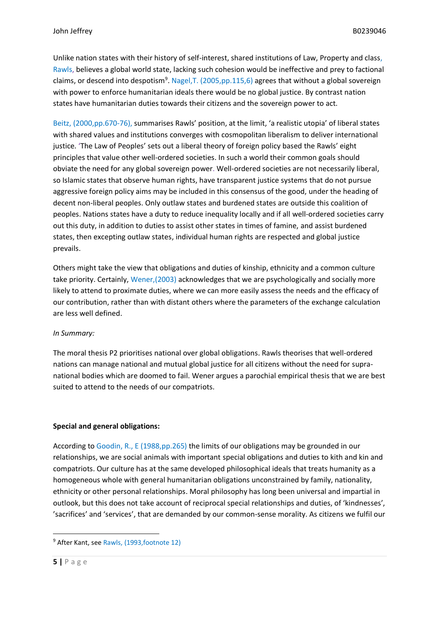Unlike nation states with their history of self-interest, shared institutions of Law, Property and class, Rawls, believes a global world state, lacking such cohesion would be ineffective and prey to factional claims, or descend into despotism<sup>9</sup>. Nagel, T. (2005, pp. 115, 6) agrees that without a global sovereign with power to enforce humanitarian ideals there would be no global justice. By contrast nation states have humanitarian duties towards their citizens and the sovereign power to act.

Beitz, (2000,pp.670-76), summarises Rawls' position, at the limit, 'a realistic utopia' of liberal states with shared values and institutions converges with cosmopolitan liberalism to deliver international justice. 'The Law of Peoples' sets out a liberal theory of foreign policy based the Rawls' eight principles that value other well-ordered societies. In such a world their common goals should obviate the need for any global sovereign power. Well-ordered societies are not necessarily liberal, so Islamic states that observe human rights, have transparent justice systems that do not pursue aggressive foreign policy aims may be included in this consensus of the good, under the heading of decent non-liberal peoples. Only outlaw states and burdened states are outside this coalition of peoples. Nations states have a duty to reduce inequality locally and if all well-ordered societies carry out this duty, in addition to duties to assist other states in times of famine, and assist burdened states, then excepting outlaw states, individual human rights are respected and global justice prevails.

Others might take the view that obligations and duties of kinship, ethnicity and a common culture take priority. Certainly, Wener,(2003) acknowledges that we are psychologically and socially more likely to attend to proximate duties, where we can more easily assess the needs and the efficacy of our contribution, rather than with distant others where the parameters of the exchange calculation are less well defined.

### *In Summary:*

The moral thesis P2 prioritises national over global obligations. Rawls theorises that well-ordered nations can manage national and mutual global justice for all citizens without the need for supranational bodies which are doomed to fail. Wener argues a parochial empirical thesis that we are best suited to attend to the needs of our compatriots.

### **Special and general obligations:**

According to Goodin, R., E (1988,pp.265) the limits of our obligations may be grounded in our relationships, we are social animals with important special obligations and duties to kith and kin and compatriots. Our culture has at the same developed philosophical ideals that treats humanity as a homogeneous whole with general humanitarian obligations unconstrained by family, nationality, ethnicity or other personal relationships. Moral philosophy has long been universal and impartial in outlook, but this does not take account of reciprocal special relationships and duties, of 'kindnesses', 'sacrifices' and 'services', that are demanded by our common-sense morality. As citizens we fulfil our

<sup>&</sup>lt;sup>9</sup> After Kant, see Rawls, (1993, footnote 12)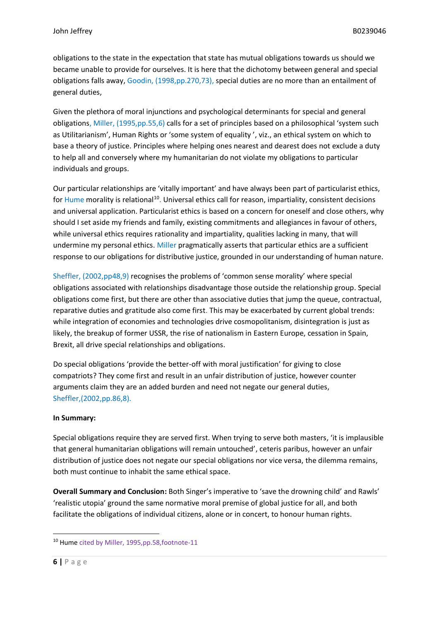obligations to the state in the expectation that state has mutual obligations towards us should we became unable to provide for ourselves. It is here that the dichotomy between general and special obligations falls away, Goodin, (1998,pp.270,73), special duties are no more than an entailment of general duties,

Given the plethora of moral injunctions and psychological determinants for special and general obligations, Miller, (1995,pp.55,6) calls for a set of principles based on a philosophical 'system such as Utilitarianism', Human Rights or 'some system of equality ', viz., an ethical system on which to base a theory of justice. Principles where helping ones nearest and dearest does not exclude a duty to help all and conversely where my humanitarian do not violate my obligations to particular individuals and groups.

Our particular relationships are 'vitally important' and have always been part of particularist ethics, for Hume morality is relational<sup>10</sup>. Universal ethics call for reason, impartiality, consistent decisions and universal application. Particularist ethics is based on a concern for oneself and close others, why should I set aside my friends and family, existing commitments and allegiances in favour of others, while universal ethics requires rationality and impartiality, qualities lacking in many, that will undermine my personal ethics. Miller pragmatically asserts that particular ethics are a sufficient response to our obligations for distributive justice, grounded in our understanding of human nature.

Sheffler, (2002,pp48,9) recognises the problems of 'common sense morality' where special obligations associated with relationships disadvantage those outside the relationship group. Special obligations come first, but there are other than associative duties that jump the queue, contractual, reparative duties and gratitude also come first. This may be exacerbated by current global trends: while integration of economies and technologies drive cosmopolitanism, disintegration is just as likely, the breakup of former USSR, the rise of nationalism in Eastern Europe, cessation in Spain, Brexit, all drive special relationships and obligations.

Do special obligations 'provide the better-off with moral justification' for giving to close compatriots? They come first and result in an unfair distribution of justice, however counter arguments claim they are an added burden and need not negate our general duties, Sheffler,(2002,pp.86,8).

# **In Summary:**

Special obligations require they are served first. When trying to serve both masters, 'it is implausible that general humanitarian obligations will remain untouched', ceteris paribus, however an unfair distribution of justice does not negate our special obligations nor vice versa, the dilemma remains, both must continue to inhabit the same ethical space.

**Overall Summary and Conclusion:** Both Singer's imperative to 'save the drowning child' and Rawls' 'realistic utopia' ground the same normative moral premise of global justice for all, and both facilitate the obligations of individual citizens, alone or in concert, to honour human rights.

<sup>10</sup> Hume cited by Miller, 1995,pp.58,footnote-11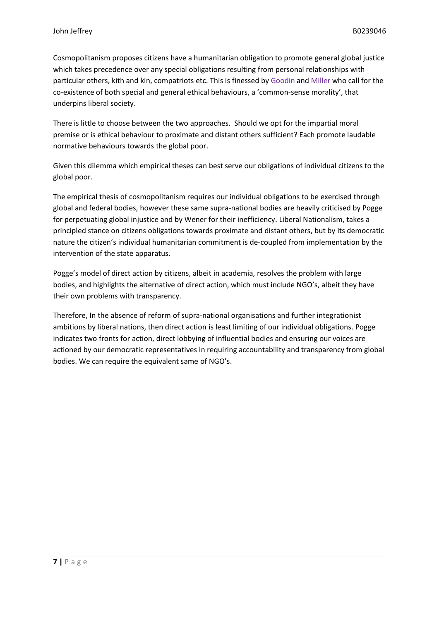Cosmopolitanism proposes citizens have a humanitarian obligation to promote general global justice which takes precedence over any special obligations resulting from personal relationships with particular others, kith and kin, compatriots etc. This is finessed by Goodin and Miller who call for the co-existence of both special and general ethical behaviours, a 'common-sense morality', that underpins liberal society.

There is little to choose between the two approaches. Should we opt for the impartial moral premise or is ethical behaviour to proximate and distant others sufficient? Each promote laudable normative behaviours towards the global poor.

Given this dilemma which empirical theses can best serve our obligations of individual citizens to the global poor.

The empirical thesis of cosmopolitanism requires our individual obligations to be exercised through global and federal bodies, however these same supra-national bodies are heavily criticised by Pogge for perpetuating global injustice and by Wener for their inefficiency. Liberal Nationalism, takes a principled stance on citizens obligations towards proximate and distant others, but by its democratic nature the citizen's individual humanitarian commitment is de-coupled from implementation by the intervention of the state apparatus.

Pogge's model of direct action by citizens, albeit in academia, resolves the problem with large bodies, and highlights the alternative of direct action, which must include NGO's, albeit they have their own problems with transparency.

Therefore, In the absence of reform of supra-national organisations and further integrationist ambitions by liberal nations, then direct action is least limiting of our individual obligations. Pogge indicates two fronts for action, direct lobbying of influential bodies and ensuring our voices are actioned by our democratic representatives in requiring accountability and transparency from global bodies. We can require the equivalent same of NGO's.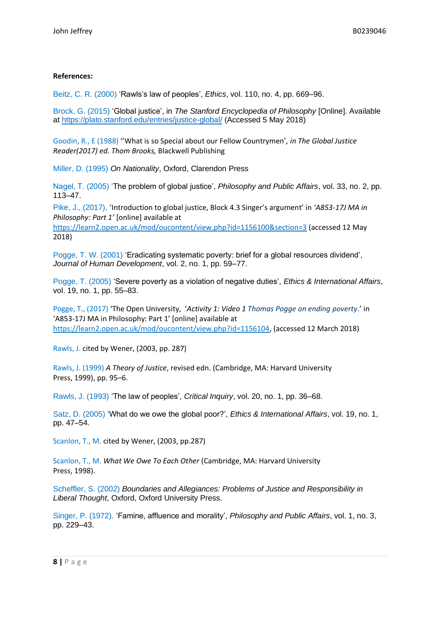### **References:**

Beitz, C. R. (2000) 'Rawls's law of peoples', *Ethics*, vol. 110, no. 4, pp. 669–96.

Brock, G. (2015) 'Global justice', in *The Stanford Encyclopedia of Philosophy* [Online]. Available at [https://plato.stanford.edu/entries/justice-global/](https://plato.stanford.edu/%20entries/%20justice-global/) (Accessed 5 May 2018)

Goodin, R., E (1988) ''What is so Special about our Fellow Countrymen'*, in The Global Justice Reader(2017) ed. Thom Brooks,* Blackwell Publishing

Miller, D. (1995) *On Nationality*, Oxford, Clarendon Press

Nagel, T. (2005) 'The problem of global justice', *Philosophy and Public Affairs*, vol. 33, no. 2, pp. 113–47.

Pike, J., (2017), 'Introduction to global justice, Block 4.3 Singer's argument' in *'A853-17J MA in Philosophy: Part 1'* [online] available at

[https://learn2.open.ac.uk/mod/oucontent/view.php?id=1156100&section=3](https://learn2.open.ac.uk/mod/oucontent/view.php?id=1156100§ion=3) (accessed 12 May 2018)

Pogge, T. W. (2001) 'Eradicating systematic poverty: brief for a global resources dividend', *Journal of Human Development*, vol. 2, no. 1, pp. 59–77.

Pogge, T. (2005) 'Severe poverty as a violation of negative duties', *Ethics & International Affairs*, vol. 19, no. 1, pp. 55–83.

Pogge, T., (2017) 'The Open University, '*Activity 1: Video 1 Thomas Pogge on ending poverty*.' in 'A853-17J MA in Philosophy: Part 1' [online] available at [https://learn2.open.ac.uk/mod/oucontent/view.php?id=1156104,](https://learn2.open.ac.uk/mod/oucontent/view.php?id=1156104) (accessed 12 March 2018)

Rawls, J. cited by Wener, (2003, pp. 287)

Rawls, J. (1999) *A Theory of Justice*, revised edn. (Cambridge, MA: Harvard University Press, 1999), pp. 95–6.

Rawls, J. (1993) 'The law of peoples', *Critical Inquiry*, vol. 20, no. 1, pp. 36–68.

Satz, D. (2005) 'What do we owe the global poor?', *Ethics & International Affairs*, vol. 19, no. 1, pp. 47–54.

Scanlon, T., M. cited by Wener, (2003, pp.287)

Scanlon, T., M. *What We Owe To Each Other* (Cambridge, MA: Harvard University Press, 1998).

Scheffler, S. (2002) *Boundaries and Allegiances: Problems of Justice and Responsibility in Liberal Thought*, Oxford, Oxford University Press.

Singer, P. (1972). 'Famine, affluence and morality', *Philosophy and Public Affairs*, vol. 1, no. 3, pp. 229–43.